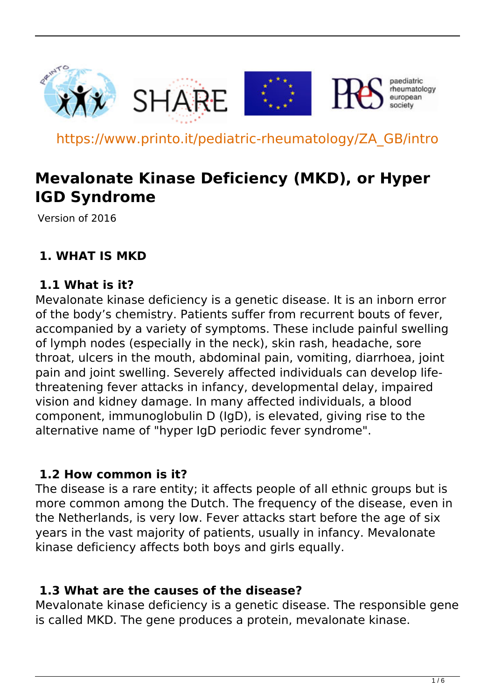

https://www.printo.it/pediatric-rheumatology/ZA\_GB/intro

# **Mevalonate Kinase Deficiency (MKD), or Hyper IGD Syndrome**

Version of 2016

#### **1. WHAT IS MKD**

#### **1.1 What is it?**

Mevalonate kinase deficiency is a genetic disease. It is an inborn error of the body's chemistry. Patients suffer from recurrent bouts of fever, accompanied by a variety of symptoms. These include painful swelling of lymph nodes (especially in the neck), skin rash, headache, sore throat, ulcers in the mouth, abdominal pain, vomiting, diarrhoea, joint pain and joint swelling. Severely affected individuals can develop lifethreatening fever attacks in infancy, developmental delay, impaired vision and kidney damage. In many affected individuals, a blood component, immunoglobulin D (IgD), is elevated, giving rise to the alternative name of "hyper IgD periodic fever syndrome".

#### **1.2 How common is it?**

The disease is a rare entity; it affects people of all ethnic groups but is more common among the Dutch. The frequency of the disease, even in the Netherlands, is very low. Fever attacks start before the age of six years in the vast majority of patients, usually in infancy. Mevalonate kinase deficiency affects both boys and girls equally.

#### **1.3 What are the causes of the disease?**

Mevalonate kinase deficiency is a genetic disease. The responsible gene is called MKD. The gene produces a protein, mevalonate kinase.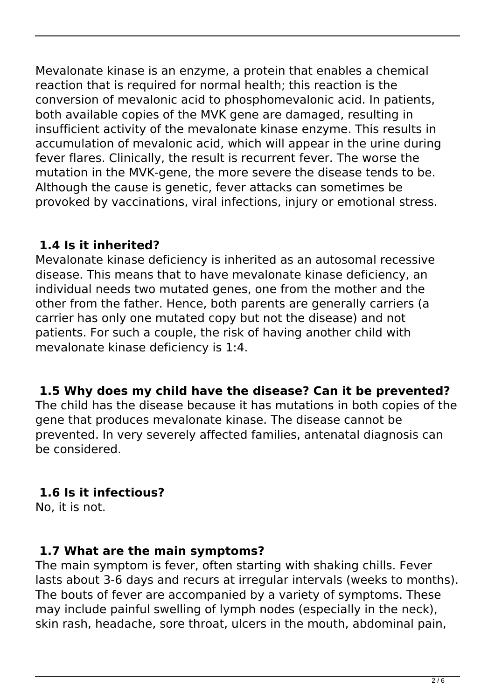Mevalonate kinase is an enzyme, a protein that enables a chemical reaction that is required for normal health; this reaction is the conversion of mevalonic acid to phosphomevalonic acid. In patients, both available copies of the MVK gene are damaged, resulting in insufficient activity of the mevalonate kinase enzyme. This results in accumulation of mevalonic acid, which will appear in the urine during fever flares. Clinically, the result is recurrent fever. The worse the mutation in the MVK-gene, the more severe the disease tends to be. Although the cause is genetic, fever attacks can sometimes be provoked by vaccinations, viral infections, injury or emotional stress.

## **1.4 Is it inherited?**

Mevalonate kinase deficiency is inherited as an autosomal recessive disease. This means that to have mevalonate kinase deficiency, an individual needs two mutated genes, one from the mother and the other from the father. Hence, both parents are generally carriers (a carrier has only one mutated copy but not the disease) and not patients. For such a couple, the risk of having another child with mevalonate kinase deficiency is 1:4.

## **1.5 Why does my child have the disease? Can it be prevented?**

The child has the disease because it has mutations in both copies of the gene that produces mevalonate kinase. The disease cannot be prevented. In very severely affected families, antenatal diagnosis can be considered.

## **1.6 Is it infectious?**

No, it is not.

#### **1.7 What are the main symptoms?**

The main symptom is fever, often starting with shaking chills. Fever lasts about 3-6 days and recurs at irregular intervals (weeks to months). The bouts of fever are accompanied by a variety of symptoms. These may include painful swelling of lymph nodes (especially in the neck), skin rash, headache, sore throat, ulcers in the mouth, abdominal pain,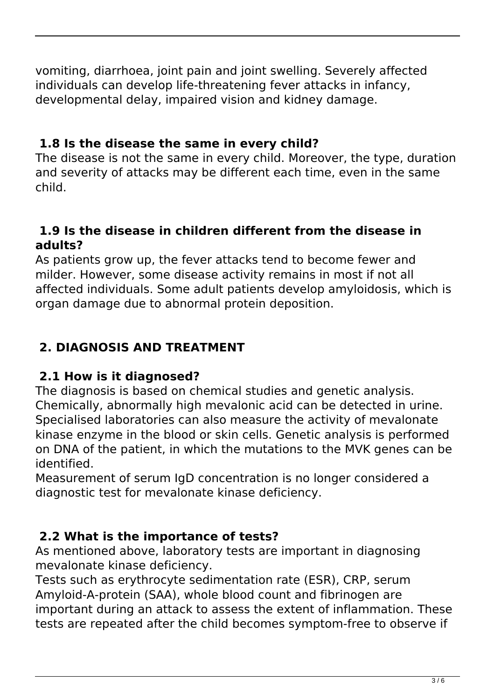vomiting, diarrhoea, joint pain and joint swelling. Severely affected individuals can develop life-threatening fever attacks in infancy, developmental delay, impaired vision and kidney damage.

## **1.8 Is the disease the same in every child?**

The disease is not the same in every child. Moreover, the type, duration and severity of attacks may be different each time, even in the same child.

#### **1.9 Is the disease in children different from the disease in adults?**

As patients grow up, the fever attacks tend to become fewer and milder. However, some disease activity remains in most if not all affected individuals. Some adult patients develop amyloidosis, which is organ damage due to abnormal protein deposition.

## **2. DIAGNOSIS AND TREATMENT**

## **2.1 How is it diagnosed?**

The diagnosis is based on chemical studies and genetic analysis. Chemically, abnormally high mevalonic acid can be detected in urine. Specialised laboratories can also measure the activity of mevalonate kinase enzyme in the blood or skin cells. Genetic analysis is performed on DNA of the patient, in which the mutations to the MVK genes can be identified.

Measurement of serum IgD concentration is no longer considered a diagnostic test for mevalonate kinase deficiency.

## **2.2 What is the importance of tests?**

As mentioned above, laboratory tests are important in diagnosing mevalonate kinase deficiency.

Tests such as erythrocyte sedimentation rate (ESR), CRP, serum Amyloid-A-protein (SAA), whole blood count and fibrinogen are important during an attack to assess the extent of inflammation. These tests are repeated after the child becomes symptom-free to observe if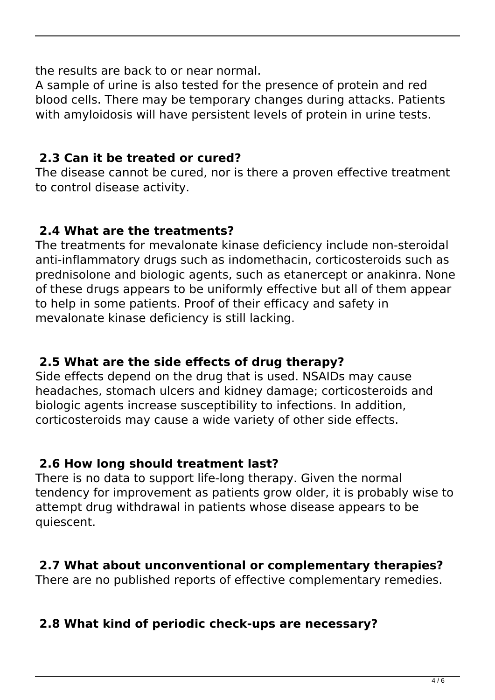the results are back to or near normal.

A sample of urine is also tested for the presence of protein and red blood cells. There may be temporary changes during attacks. Patients with amyloidosis will have persistent levels of protein in urine tests.

## **2.3 Can it be treated or cured?**

The disease cannot be cured, nor is there a proven effective treatment to control disease activity.

## **2.4 What are the treatments?**

The treatments for mevalonate kinase deficiency include non-steroidal anti-inflammatory drugs such as indomethacin, corticosteroids such as prednisolone and biologic agents, such as etanercept or anakinra. None of these drugs appears to be uniformly effective but all of them appear to help in some patients. Proof of their efficacy and safety in mevalonate kinase deficiency is still lacking.

## **2.5 What are the side effects of drug therapy?**

Side effects depend on the drug that is used. NSAIDs may cause headaches, stomach ulcers and kidney damage; corticosteroids and biologic agents increase susceptibility to infections. In addition, corticosteroids may cause a wide variety of other side effects.

## **2.6 How long should treatment last?**

There is no data to support life-long therapy. Given the normal tendency for improvement as patients grow older, it is probably wise to attempt drug withdrawal in patients whose disease appears to be quiescent.

## **2.7 What about unconventional or complementary therapies?**

There are no published reports of effective complementary remedies.

## **2.8 What kind of periodic check-ups are necessary?**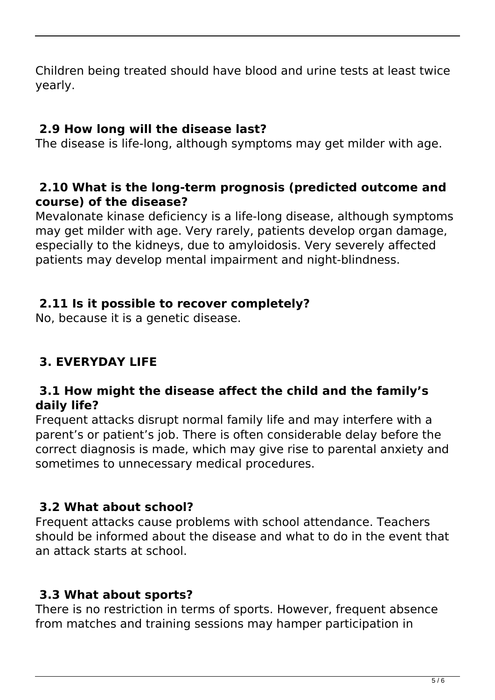Children being treated should have blood and urine tests at least twice yearly.

#### **2.9 How long will the disease last?**

The disease is life-long, although symptoms may get milder with age.

#### **2.10 What is the long-term prognosis (predicted outcome and course) of the disease?**

Mevalonate kinase deficiency is a life-long disease, although symptoms may get milder with age. Very rarely, patients develop organ damage, especially to the kidneys, due to amyloidosis. Very severely affected patients may develop mental impairment and night-blindness.

#### **2.11 Is it possible to recover completely?**

No, because it is a genetic disease.

## **3. EVERYDAY LIFE**

#### **3.1 How might the disease affect the child and the family's daily life?**

Frequent attacks disrupt normal family life and may interfere with a parent's or patient's job. There is often considerable delay before the correct diagnosis is made, which may give rise to parental anxiety and sometimes to unnecessary medical procedures.

#### **3.2 What about school?**

Frequent attacks cause problems with school attendance. Teachers should be informed about the disease and what to do in the event that an attack starts at school.

#### **3.3 What about sports?**

There is no restriction in terms of sports. However, frequent absence from matches and training sessions may hamper participation in